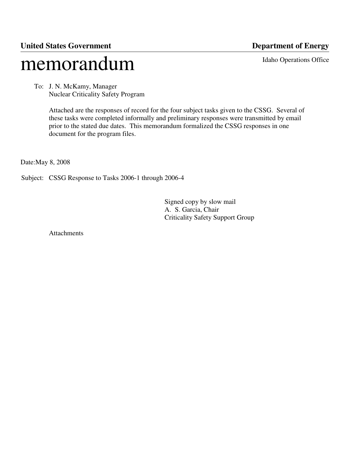# **United States Government Department of Energy** memorandum Idaho Operations Office

 To: J. N. McKamy, Manager Nuclear Criticality Safety Program

> Attached are the responses of record for the four subject tasks given to the CSSG. Several of these tasks were completed informally and preliminary responses were transmitted by email prior to the stated due dates. This memorandum formalized the CSSG responses in one document for the program files.

Date:May 8, 2008

Subject: CSSG Response to Tasks 2006-1 through 2006-4

 Signed copy by slow mail A. S. Garcia, Chair Criticality Safety Support Group

Attachments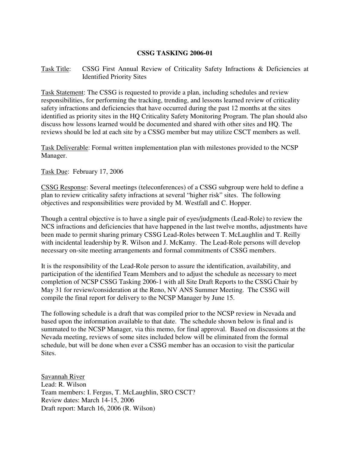# **CSSG TASKING 2006-01**

# Task Title: CSSG First Annual Review of Criticality Safety Infractions & Deficiencies at Identified Priority Sites

Task Statement: The CSSG is requested to provide a plan, including schedules and review responsibilities, for performing the tracking, trending, and lessons learned review of criticality safety infractions and deficiencies that have occurred during the past 12 months at the sites identified as priority sites in the HQ Criticality Safety Monitoring Program. The plan should also discuss how lessons learned would be documented and shared with other sites and HQ. The reviews should be led at each site by a CSSG member but may utilize CSCT members as well.

Task Deliverable: Formal written implementation plan with milestones provided to the NCSP Manager.

Task Due: February 17, 2006

CSSG Response: Several meetings (teleconferences) of a CSSG subgroup were held to define a plan to review criticality safety infractions at several "higher risk" sites. The following objectives and responsibilities were provided by M. Westfall and C. Hopper.

Though a central objective is to have a single pair of eyes/judgments (Lead-Role) to review the NCS infractions and deficiencies that have happened in the last twelve months, adjustments have been made to permit sharing primary CSSG Lead-Roles between T. McLaughlin and T. Reilly with incidental leadership by R. Wilson and J. McKamy. The Lead-Role persons will develop necessary on-site meeting arrangements and formal commitments of CSSG members.

It is the responsibility of the Lead-Role person to assure the identification, availability, and participation of the identified Team Members and to adjust the schedule as necessary to meet completion of NCSP CSSG Tasking 2006-1 with all Site Draft Reports to the CSSG Chair by May 31 for review/consideration at the Reno, NV ANS Summer Meeting. The CSSG will compile the final report for delivery to the NCSP Manager by June 15.

The following schedule is a draft that was compiled prior to the NCSP review in Nevada and based upon the information available to that date. The schedule shown below is final and is summated to the NCSP Manager, via this memo, for final approval. Based on discussions at the Nevada meeting, reviews of some sites included below will be eliminated from the formal schedule, but will be done when ever a CSSG member has an occasion to visit the particular Sites.

Savannah River Lead: R. Wilson Team members: I. Fergus, T. McLaughlin, SRO CSCT? Review dates: March 14-15, 2006 Draft report: March 16, 2006 (R. Wilson)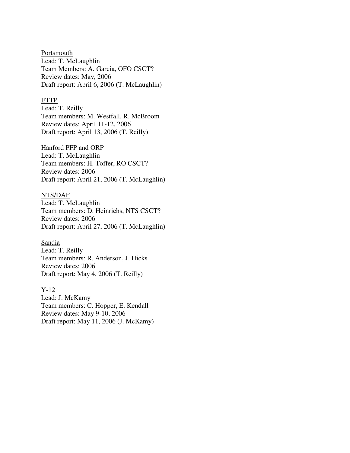**Portsmouth** Lead: T. McLaughlin Team Members: A. Garcia, OFO CSCT? Review dates: May, 2006 Draft report: April 6, 2006 (T. McLaughlin)

# ETTP

Lead: T. Reilly Team members: M. Westfall, R. McBroom Review dates: April 11-12, 2006 Draft report: April 13, 2006 (T. Reilly)

#### Hanford PFP and ORP

Lead: T. McLaughlin Team members: H. Toffer, RO CSCT? Review dates: 2006 Draft report: April 21, 2006 (T. McLaughlin)

#### NTS/DAF

Lead: T. McLaughlin Team members: D. Heinrichs, NTS CSCT? Review dates: 2006 Draft report: April 27, 2006 (T. McLaughlin)

#### Sandia

Lead: T. Reilly Team members: R. Anderson, J. Hicks Review dates: 2006 Draft report: May 4, 2006 (T. Reilly)

#### Y-12

Lead: J. McKamy Team members: C. Hopper, E. Kendall Review dates: May 9-10, 2006 Draft report: May 11, 2006 (J. McKamy)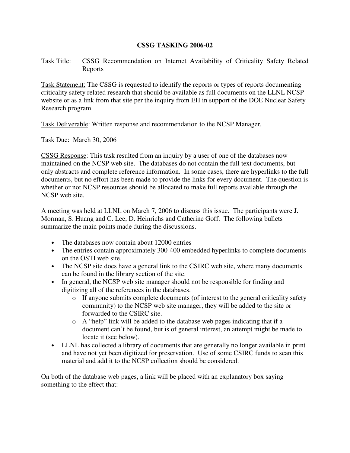# **CSSG TASKING 2006-02**

Task Title: CSSG Recommendation on Internet Availability of Criticality Safety Related Reports

Task Statement: The CSSG is requested to identify the reports or types of reports documenting criticality safety related research that should be available as full documents on the LLNL NCSP website or as a link from that site per the inquiry from EH in support of the DOE Nuclear Safety Research program.

Task Deliverable: Written response and recommendation to the NCSP Manager.

Task Due: March 30, 2006

CSSG Response: This task resulted from an inquiry by a user of one of the databases now maintained on the NCSP web site. The databases do not contain the full text documents, but only abstracts and complete reference information. In some cases, there are hyperlinks to the full documents, but no effort has been made to provide the links for every document. The question is whether or not NCSP resources should be allocated to make full reports available through the NCSP web site.

A meeting was held at LLNL on March 7, 2006 to discuss this issue. The participants were J. Morman, S. Huang and C. Lee, D. Heinrichs and Catherine Goff. The following bullets summarize the main points made during the discussions.

- The databases now contain about 12000 entries
- The entries contain approximately 300-400 embedded hyperlinks to complete documents on the OSTI web site.
- The NCSP site does have a general link to the CSIRC web site, where many documents can be found in the library section of the site.
- In general, the NCSP web site manager should not be responsible for finding and digitizing all of the references in the databases.
	- o If anyone submits complete documents (of interest to the general criticality safety community) to the NCSP web site manager, they will be added to the site or forwarded to the CSIRC site.
	- o A "help" link will be added to the database web pages indicating that if a document can't be found, but is of general interest, an attempt might be made to locate it (see below).
- LLNL has collected a library of documents that are generally no longer available in print and have not yet been digitized for preservation. Use of some CSIRC funds to scan this material and add it to the NCSP collection should be considered.

On both of the database web pages, a link will be placed with an explanatory box saying something to the effect that: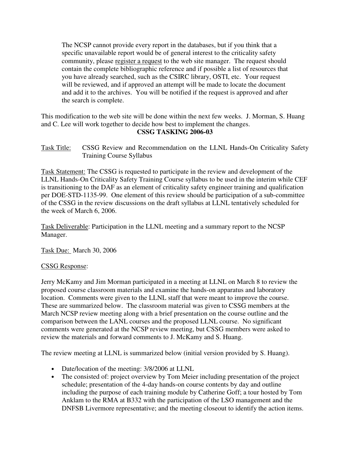The NCSP cannot provide every report in the databases, but if you think that a specific unavailable report would be of general interest to the criticality safety community, please register a request to the web site manager. The request should contain the complete bibliographic reference and if possible a list of resources that you have already searched, such as the CSIRC library, OSTI, etc. Your request will be reviewed, and if approved an attempt will be made to locate the document and add it to the archives. You will be notified if the request is approved and after the search is complete.

This modification to the web site will be done within the next few weeks. J. Morman, S. Huang and C. Lee will work together to decide how best to implement the changes. **CSSG TASKING 2006-03** 

Task Title: CSSG Review and Recommendation on the LLNL Hands-On Criticality Safety Training Course Syllabus

Task Statement: The CSSG is requested to participate in the review and development of the LLNL Hands-On Criticality Safety Training Course syllabus to be used in the interim while CEF is transitioning to the DAF as an element of criticality safety engineer training and qualification per DOE-STD-1135-99. One element of this review should be participation of a sub-committee of the CSSG in the review discussions on the draft syllabus at LLNL tentatively scheduled for the week of March 6, 2006.

Task Deliverable: Participation in the LLNL meeting and a summary report to the NCSP Manager.

Task Due: March 30, 2006

# CSSG Response:

Jerry McKamy and Jim Morman participated in a meeting at LLNL on March 8 to review the proposed course classroom materials and examine the hands-on apparatus and laboratory location. Comments were given to the LLNL staff that were meant to improve the course. These are summarized below. The classroom material was given to CSSG members at the March NCSP review meeting along with a brief presentation on the course outline and the comparison between the LANL courses and the proposed LLNL course. No significant comments were generated at the NCSP review meeting, but CSSG members were asked to review the materials and forward comments to J. McKamy and S. Huang.

The review meeting at LLNL is summarized below (initial version provided by S. Huang).

- Date/location of the meeting:  $3/8/2006$  at LLNL
- The consisted of: project overview by Tom Meier including presentation of the project schedule; presentation of the 4-day hands-on course contents by day and outline including the purpose of each training module by Catherine Goff; a tour hosted by Tom Anklam to the RMA at B332 with the participation of the LSO management and the DNFSB Livermore representative; and the meeting closeout to identify the action items.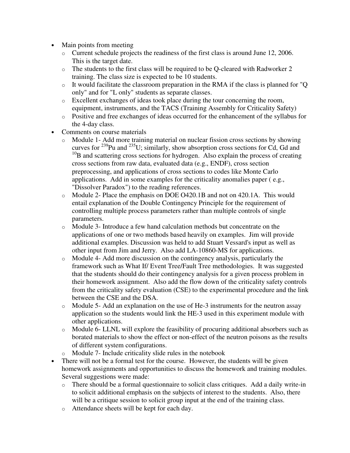- Main points from meeting
	- o Current schedule projects the readiness of the first class is around June 12, 2006. This is the target date.
	- $\circ$  The students to the first class will be required to be Q-cleared with Radworker 2 training. The class size is expected to be 10 students.
	- o It would facilitate the classroom preparation in the RMA if the class is planned for "Q only" and for "L only" students as separate classes.
	- o Excellent exchanges of ideas took place during the tour concerning the room, equipment, instruments, and the TACS (Training Assembly for Criticality Safety)
	- o Positive and free exchanges of ideas occurred for the enhancement of the syllabus for the 4-day class.
- Comments on course materials
	- o Module 1- Add more training material on nuclear fission cross sections by showing curves for  $^{239}$ Pu and  $^{235}$ U; similarly, show absorption cross sections for Cd, Gd and  $10<sup>B</sup>$  and scattering cross sections for hydrogen. Also explain the process of creating cross sections from raw data, evaluated data (e.g., ENDF), cross section preprocessing, and applications of cross sections to codes like Monte Carlo applications. Add in some examples for the criticality anomalies paper ( e.g., "Dissolver Paradox") to the reading references.
	- o Module 2- Place the emphasis on DOE O420.1B and not on 420.1A. This would entail explanation of the Double Contingency Principle for the requirement of controlling multiple process parameters rather than multiple controls of single parameters.
	- o Module 3- Introduce a few hand calculation methods but concentrate on the applications of one or two methods based heavily on examples. Jim will provide additional examples. Discussion was held to add Stuart Vessard's input as well as other input from Jim and Jerry. Also add LA-10860-MS for applications.
	- o Module 4- Add more discussion on the contingency analysis, particularly the framework such as What If/ Event Tree/Fault Tree methodologies. It was suggested that the students should do their contingency analysis for a given process problem in their homework assignment. Also add the flow down of the criticality safety controls from the criticality safety evaluation (CSE) to the experimental procedure and the link between the CSE and the DSA.
	- o Module 5- Add an explanation on the use of He-3 instruments for the neutron assay application so the students would link the HE-3 used in this experiment module with other applications.
	- o Module 6- LLNL will explore the feasibility of procuring additional absorbers such as borated materials to show the effect or non-effect of the neutron poisons as the results of different system configurations.
	- Module 7- Include criticality slide rules in the notebook
- There will not be a formal test for the course. However, the students will be given homework assignments and opportunities to discuss the homework and training modules. Several suggestions were made:
	- o There should be a formal questionnaire to solicit class critiques. Add a daily write-in to solicit additional emphasis on the subjects of interest to the students. Also, there will be a critique session to solicit group input at the end of the training class.
	- o Attendance sheets will be kept for each day.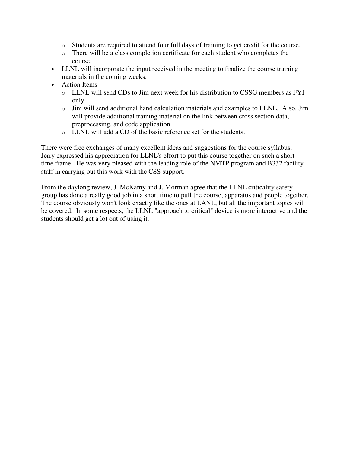- o Students are required to attend four full days of training to get credit for the course.
- o There will be a class completion certificate for each student who completes the course.
- LLNL will incorporate the input received in the meeting to finalize the course training materials in the coming weeks.
- Action Items
	- o LLNL will send CDs to Jim next week for his distribution to CSSG members as FYI only.
	- o Jim will send additional hand calculation materials and examples to LLNL. Also, Jim will provide additional training material on the link between cross section data, preprocessing, and code application.
	- o LLNL will add a CD of the basic reference set for the students.

There were free exchanges of many excellent ideas and suggestions for the course syllabus. Jerry expressed his appreciation for LLNL's effort to put this course together on such a short time frame. He was very pleased with the leading role of the NMTP program and B332 facility staff in carrying out this work with the CSS support.

From the daylong review, J. McKamy and J. Morman agree that the LLNL criticality safety group has done a really good job in a short time to pull the course, apparatus and people together. The course obviously won't look exactly like the ones at LANL, but all the important topics will be covered. In some respects, the LLNL "approach to critical" device is more interactive and the students should get a lot out of using it.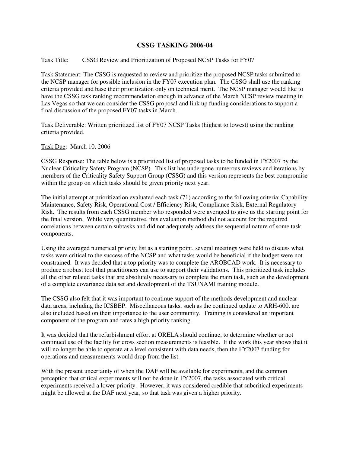# **CSSG TASKING 2006-04**

### Task Title: CSSG Review and Prioritization of Proposed NCSP Tasks for FY07

Task Statement: The CSSG is requested to review and prioritize the proposed NCSP tasks submitted to the NCSP manager for possible inclusion in the FY07 execution plan. The CSSG shall use the ranking criteria provided and base their prioritization only on technical merit. The NCSP manager would like to have the CSSG task ranking recommendation enough in advance of the March NCSP review meeting in Las Vegas so that we can consider the CSSG proposal and link up funding considerations to support a final discussion of the proposed FY07 tasks in March.

Task Deliverable: Written prioritized list of FY07 NCSP Tasks (highest to lowest) using the ranking criteria provided.

Task Due: March 10, 2006

CSSG Response: The table below is a prioritized list of proposed tasks to be funded in FY2007 by the Nuclear Criticality Safety Program (NCSP). This list has undergone numerous reviews and iterations by members of the Criticality Safety Support Group (CSSG) and this version represents the best compromise within the group on which tasks should be given priority next year.

The initial attempt at prioritization evaluated each task (71) according to the following criteria: Capability Maintenance, Safety Risk, Operational Cost / Efficiency Risk, Compliance Risk, External Regulatory Risk. The results from each CSSG member who responded were averaged to give us the starting point for the final version. While very quantitative, this evaluation method did not account for the required correlations between certain subtasks and did not adequately address the sequential nature of some task components.

Using the averaged numerical priority list as a starting point, several meetings were held to discuss what tasks were critical to the success of the NCSP and what tasks would be beneficial if the budget were not constrained. It was decided that a top priority was to complete the AROBCAD work. It is necessary to produce a robust tool that practitioners can use to support their validations. This prioritized task includes all the other related tasks that are absolutely necessary to complete the main task, such as the development of a complete covariance data set and development of the TSUNAMI training module.

The CSSG also felt that it was important to continue support of the methods development and nuclear data areas, including the ICSBEP. Miscellaneous tasks, such as the continued update to ARH-600, are also included based on their importance to the user community. Training is considered an important component of the program and rates a high priority ranking.

It was decided that the refurbishment effort at ORELA should continue, to determine whether or not continued use of the facility for cross section measurements is feasible. If the work this year shows that it will no longer be able to operate at a level consistent with data needs, then the FY2007 funding for operations and measurements would drop from the list.

With the present uncertainty of when the DAF will be available for experiments, and the common perception that critical experiments will not be done in FY2007, the tasks associated with critical experiments received a lower priority. However, it was considered credible that subcritical experiments might be allowed at the DAF next year, so that task was given a higher priority.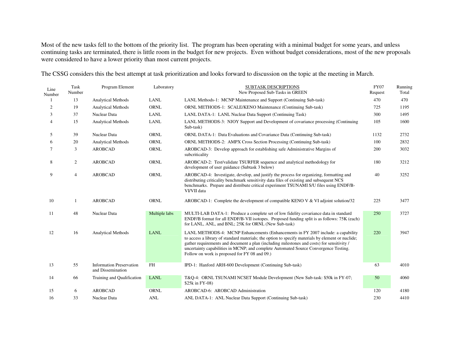Most of the new tasks fell to the bottom of the priority list. The program has been operating with a minimal budget for some years, and unless continuing tasks are terminated, there is little room in the budget for new projects. Even without budget considerations, most of the new proposals were considered to have a lower priority than most current projects.

The CSSG considers this the best attempt at task prioritization and looks forward to discussion on the topic at the meeting in March.

| Line<br>Number | Task<br>Number   | Program Element                                      | Laboratory    | <b>SUBTASK DESCRIPTIONS</b><br>New Proposed Sub-Tasks in GREEN                                                                                                                                                                                                                                                                                                                                                               | <b>FY07</b><br>Request | Running<br>Total |
|----------------|------------------|------------------------------------------------------|---------------|------------------------------------------------------------------------------------------------------------------------------------------------------------------------------------------------------------------------------------------------------------------------------------------------------------------------------------------------------------------------------------------------------------------------------|------------------------|------------------|
|                | 13               | <b>Analytical Methods</b>                            | <b>LANL</b>   | LANL Methods-1: MCNP Maintenance and Support (Continuing Sub-task)                                                                                                                                                                                                                                                                                                                                                           | 470                    | 470              |
| 2              | 19               | <b>Analytical Methods</b>                            | <b>ORNL</b>   | ORNL METHODS-1: SCALE/KENO Maintenance (Continuing Sub-task)                                                                                                                                                                                                                                                                                                                                                                 | 725                    | 1195             |
| 3              | 37               | Nuclear Data                                         | <b>LANL</b>   | LANL DATA-1: LANL Nuclear Data Support (Continuing Task)                                                                                                                                                                                                                                                                                                                                                                     | 300                    | 1495             |
| $\overline{4}$ | 15               | <b>Analytical Methods</b>                            | <b>LANL</b>   | LANL METHODS-3: NJOY Support and Development of covariance processing (Continuing<br>Sub-task)                                                                                                                                                                                                                                                                                                                               | 105                    | 1600             |
| 5              | 39               | Nuclear Data                                         | <b>ORNL</b>   | ORNL DATA-1: Data Evaluations and Covariance Data (Continuing Sub-task)                                                                                                                                                                                                                                                                                                                                                      | 1132                   | 2732             |
| 6              | 20               | <b>Analytical Methods</b>                            | <b>ORNL</b>   | <b>ORNL METHODS-2: AMPX Cross Section Processing (Continuing Sub-task)</b>                                                                                                                                                                                                                                                                                                                                                   | 100                    | 2832             |
| 7              | 3                | <b>AROBCAD</b>                                       | <b>ORNL</b>   | AROBCAD-3: Develop approach for establishing safe Administrative Margins of<br>subcriticality                                                                                                                                                                                                                                                                                                                                | 200                    | 3032             |
| 8              | $\boldsymbol{2}$ | <b>AROBCAD</b>                                       | <b>ORNL</b>   | AROBCAD-2: Test/validate TSURFER sequence and analytical methodology for<br>development of user guidance (Subtask 3 below)                                                                                                                                                                                                                                                                                                   | 180                    | 3212             |
| 9              | 4                | <b>AROBCAD</b>                                       | ORNL          | AROBCAD-4: Investigate, develop, and justify the process for organizing, formatting and<br>distributing criticality benchmark sensitivity data files of existing and subsequent NCS<br>benchmarks. Prepare and distribute critical experiment TSUNAMI S/U files using ENDF/B-<br>VI/VII data                                                                                                                                 | 40                     | 3252             |
| 10             | 1                | <b>AROBCAD</b>                                       | <b>ORNL</b>   | AROBCAD-1: Complete the development of compatible KENO V & VI adjoint solution/32                                                                                                                                                                                                                                                                                                                                            | 225                    | 3477             |
| 11             | 48               | Nuclear Data                                         | Multiple labs | MULTI-LAB DATA-1: Produce a complete set of low fidelity covariance data in standard<br>ENDF/B format for all ENDF/B-VII isotopes. Proposed funding split is as follows: 75K (each)<br>for LANL, ANL, and BNL; 25K for ORNL (New Sub-task)                                                                                                                                                                                   | 250                    | 3727             |
| 12             | 16               | <b>Analytical Methods</b>                            | <b>LANL</b>   | LANL METHODS-4: MCNP Enhancements (Enhancements in FY 2007 include: a capability<br>to access a library of standard materials; the option to specify materials by element or nuclide;<br>gather requirements and document a plan (including milestones and costs) for sensitivity /<br>uncertainty capabilities in MCNP; and complete Automated Source Convergence Testing.<br>Follow on work is proposed for FY 08 and 09.) | 220                    | 3947             |
| 13             | 55               | <b>Information Preservation</b><br>and Dissemination | <b>FH</b>     | IPD-1: Hanford ARH-600 Development (Continuing Sub-task)                                                                                                                                                                                                                                                                                                                                                                     | 63                     | 4010             |
| 14             | 66               | Training and Qualification                           | <b>LANL</b>   | T&Q-4: ORNL TSUNAMI NCSET Module Development (New Sub-task: \$50k in FY-07;<br>\$25k in FY-08)                                                                                                                                                                                                                                                                                                                               | 50                     | 4060             |
| 15             | 6                | <b>AROBCAD</b>                                       | <b>ORNL</b>   | AROBCAD-6: AROBCAD Administration                                                                                                                                                                                                                                                                                                                                                                                            | 120                    | 4180             |
| 16             | 33               | Nuclear Data                                         | <b>ANL</b>    | ANL DATA-1: ANL Nuclear Data Support (Continuing Sub-task)                                                                                                                                                                                                                                                                                                                                                                   | 230                    | 4410             |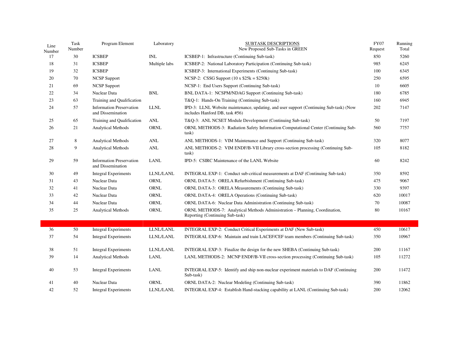| Line<br>Number | Task<br>Number | Program Element                                      | Laboratory    | <b>SUBTASK DESCRIPTIONS</b><br>New Proposed Sub-Tasks in GREEN                                                           | <b>FY07</b><br>Request | Running<br>Total |
|----------------|----------------|------------------------------------------------------|---------------|--------------------------------------------------------------------------------------------------------------------------|------------------------|------------------|
| 17             | 30             | <b>ICSBEP</b>                                        | <b>INL</b>    | ICSBEP-1: Infrastructure (Continuing Sub-task)                                                                           | 850                    | 5260             |
| 18             | 31             | <b>ICSBEP</b>                                        | Multiple labs | ICSBEP-2: National Laboratory Participation (Continuing Sub-task)                                                        | 985                    | 6245             |
| 19             | 32             | <b>ICSBEP</b>                                        |               | ICSBEP-3: International Experiments (Continuing Sub-task)                                                                | 100                    | 6345             |
| 20             | 70             | <b>NCSP</b> Support                                  |               | NCSP-2: CSSG Support $(10 \times $25k = $250k)$                                                                          | 250                    | 6595             |
| 21             | 69             | <b>NCSP</b> Support                                  |               | NCSP-1: End Users Support (Continuing Sub-task)                                                                          | 10                     | 6605             |
| 22             | 34             | Nuclear Data                                         | <b>BNL</b>    | BNL DATA-1: NCSPM/NDAG Support (Continuing Sub-task)                                                                     | 180                    | 6785             |
| 23             | 63             | Training and Qualification                           |               | T&Q-1: Hands-On Training (Continuing Sub-task)                                                                           | 160                    | 6945             |
| 24             | 57             | <b>Information Preservation</b><br>and Dissemination | <b>LLNL</b>   | IPD-3: LLNL Website maintenance, updating, and user support (Continuing Sub-task) (Now<br>includes Hanford DB, task #56) | 202                    | 7147             |
| 25             | 65             | Training and Qualification                           | ANL           | T&Q-3: ANL NCSET Module Development (Continuing Sub-task)                                                                | 50                     | 7197             |
| 26             | 21             | Analytical Methods                                   | ORNL          | ORNL METHODS-3: Radiation Safety Information Computational Center (Continuing Sub-<br>task)                              | 560                    | 7757             |
| 27             | 8              | Analytical Methods                                   | <b>ANL</b>    | ANL METHODS-1: VIM Maintenance and Support (Continuing Sub-task)                                                         | 320                    | 8077             |
| 28             | 9              | Analytical Methods                                   | <b>ANL</b>    | ANL METHODS-2: VIM ENDF/B-VII Library cross-section processing (Continuing Sub-<br>task)                                 | 105                    | 8182             |
| 29             | 59             | <b>Information Preservation</b><br>and Dissemination | LANL          | IPD-5: CSIRC Maintenance of the LANL Website                                                                             | 60                     | 8242             |
| 30             | 49             | <b>Integral Experiments</b>                          | LLNL/LANL     | INTEGRAL EXP-1: Conduct sub-critical measurements at DAF (Continuing Sub-task)                                           | 350                    | 8592             |
| 31             | 43             | Nuclear Data                                         | ORNL          | ORNL DATA-5: ORELA Refurbishment (Continuing Sub-task)                                                                   | 475                    | 9067             |
| 32             | 41             | Nuclear Data                                         | ORNL          | ORNL DATA-3: ORELA Measurements (Continuing Sub-task)                                                                    | 330                    | 9397             |
| 33             | 42             | Nuclear Data                                         | ORNL          | ORNL DATA-4: ORELA Operations (Continuing Sub-task)                                                                      | 620                    | 10017            |
| 34             | 44             | Nuclear Data                                         | ORNL          | ORNL DATA-6: Nuclear Data Administration (Continuing Sub-task)                                                           | 70                     | 10087            |
| 35             | 25             | <b>Analytical Methods</b>                            | ORNL          | ORNL METHODS-7: Analytical Methods Administration – Planning, Coordination,<br>Reporting (Continuing Sub-task)           | 80                     | 10167            |
| 36             | 50             | <b>Integral Experiments</b>                          | LLNL/LANL     | INTEGRAL EXP-2: Conduct Critical Experiments at DAF (New Sub-task)                                                       | 450                    | 10617            |
| 37             | 54             | <b>Integral Experiments</b>                          | LLNL/LANL     | INTEGRAL EXP-6: Maintain and train LACEF/CEF team members (Continuing Sub-task)                                          | 350                    | 10967            |
| 38             | 51             | <b>Integral Experiments</b>                          | LLNL/LANL     | INTEGRAL EXP-3: Finalize the design for the new SHEBA (Continuing Sub-task)                                              | 200                    | 11167            |
| 39             | 14             | <b>Analytical Methods</b>                            | LANL          | LANL METHODS-2: MCNP ENDF/B-VII cross-section processing (Continuing Sub-task)                                           | 105                    | 11272            |
| 40             | 53             | <b>Integral Experiments</b>                          | <b>LANL</b>   | INTEGRAL EXP-5: Identify and ship non-nuclear experiment materials to DAF (Continuing<br>Sub-task)                       | 200                    | 11472            |
| 41             | 40             | Nuclear Data                                         | ORNL          | <b>ORNL DATA-2: Nuclear Modeling (Continuing Sub-task)</b>                                                               | 390                    | 11862            |
| 42             | 52             | Integral Experiments                                 | LLNL/LANL     | INTEGRAL EXP-4: Establish Hand-stacking capability at LANL (Continuing Sub-task)                                         | 200                    | 12062            |

Τ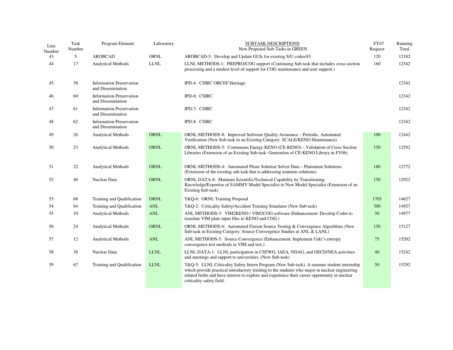| Line<br>Number | Task<br>Number | Program Element                                      | Laboratory           | <b>SUBTASK DESCRIPTIONS</b><br>New Proposed Sub-Tasks in GREEN                                                                                                                                                                                                                                                             | <b>FY07</b><br>Request | Running<br>Total |
|----------------|----------------|------------------------------------------------------|----------------------|----------------------------------------------------------------------------------------------------------------------------------------------------------------------------------------------------------------------------------------------------------------------------------------------------------------------------|------------------------|------------------|
| 43             | 5              | <b>AROBCAD</b>                                       | <b>ORNL</b>          | AROBCAD-5: Develop and Update GUIs for existing S/U codes/43                                                                                                                                                                                                                                                               | 120                    | 12182            |
| 44             | 17             | <b>Analytical Methods</b>                            | $\text{LLNL}$        | LLNL METHODS-1: PREPRO/COG support (Continuing Sub-task that includes cross-section<br>processing and a modest level of support for COG maintenance and user support.)                                                                                                                                                     | 160                    | 12342            |
| 45             | 58             | <b>Information Preservation</b><br>and Dissemination |                      | IPD-4: CSIRC ORCEF Heritage                                                                                                                                                                                                                                                                                                |                        | 12342            |
| 46             | 60             | <b>Information Preservation</b><br>and Dissemination |                      | IPD-6: CSIRC                                                                                                                                                                                                                                                                                                               |                        | 12342            |
| 47             | 61             | <b>Information Preservation</b><br>and Dissemination |                      | IPD-7: CSIRC                                                                                                                                                                                                                                                                                                               |                        | 12342            |
| 48             | 62             | <b>Information Preservation</b><br>and Dissemination |                      | IPD-8: CSIRC                                                                                                                                                                                                                                                                                                               |                        | 12342            |
| 49             | 26             | <b>Analytical Methods</b>                            | <b>ORNL</b>          | ORNL METHODS-8: Improved Software Quality Assurance – Periodic, Automated<br>Verification (New Sub-task in an Existing Category: SCALE/KENO Maintenance)                                                                                                                                                                   | 100                    | 12442            |
| 50             | 23             | <b>Analytical Methods</b>                            | <b>ORNL</b>          | ORNL METHODS-5: Continuous Energy KENO (CE-KENO) - Validation of Cross Section<br>Libraries (Extension of an Existing Sub-task: Generation of CE-KENO Library in FY06)                                                                                                                                                     | 150                    | 12592            |
| 51             | 22             | Analytical Methods                                   | <b>ORNL</b>          | ORNL METHODS-4: Automated Pitzer Solution Solver Data - Plutonium Solutions<br>(Extension of the existing sub-task that is addressing uranium solutions)                                                                                                                                                                   | 180                    | 12772            |
| 52             | 46             | Nuclear Data                                         | <b>ORNL</b>          | ORNL DATA-8: Maintain Scientific/Technical Capability by Transitioning<br>Knowledge/Expertise of SAMMY Model Specialist to New Model Specialist (Extension of an<br>Existing Sub-task)                                                                                                                                     | 150                    | 12922            |
| 53             | 68             | Training and Qualification                           | <b>ORNL</b>          | T&Q-6: ORNL Training Proposal                                                                                                                                                                                                                                                                                              | 1705                   | 14627            |
| 54             | 64             | Training and Qualification                           | <b>ANL</b>           | T&Q-2: Criticality Safety/Accident Training Simulator (New Sub-task)                                                                                                                                                                                                                                                       | 300                    | 14927            |
| 55             | 10             | <b>Analytical Methods</b>                            | <b>ANL</b>           | ANL METHODS-3: VIM2KENO / VIM2COG software (Enhancement: Develop Codes to<br>translate VIM plate input files to KENO and COG.)                                                                                                                                                                                             | 50                     | 14977            |
| 56             | 24             | <b>Analytical Methods</b>                            | <b>ORNL</b>          | ORNL METHODS-6: Automated Fission Source Testing & Convergence Algorithms (New<br>Sub-task in Existing Category: Source Convergence Studies at ANL & LANL)                                                                                                                                                                 | 150                    | 15127            |
| 57             | 12             | <b>Analytical Methods</b>                            | $\operatorname{ANL}$ | ANL METHODS-5: Source Convergence (Enhancement: Implement Ueki's entropy<br>convergence test methods in VIM and test.)                                                                                                                                                                                                     | 75                     | 15202            |
| 58             | 38             | Nuclear Data                                         | <b>LLNL</b>          | LLNL DATA-1: LLNL participation in CSEWG, IAEA, NDAG, and OECD/NEA activities<br>and meetings and support to universities. (New Sub-task)                                                                                                                                                                                  | 40                     | 15242            |
| 59             | 67             | Training and Qualification                           | ${\rm LLNL}$         | T&Q-5: LLNL Criticality Safety Intern Program (New Sub-task). A summer student internship<br>which provide practical introductory training to the students who major in nuclear engineering<br>related fields and have interest to explore and experience their career opportunity in nuclear<br>criticality safety field. | 50                     | 15292            |